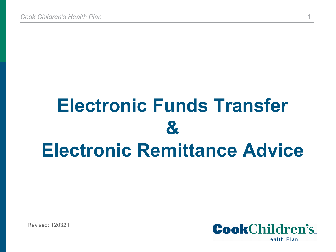# **Electronic Funds Transfer & Electronic Remittance Advice**

Revised: 120321

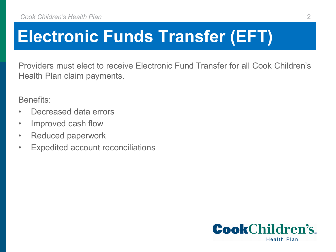## **Electronic Funds Transfer (EFT)**

Providers must elect to receive Electronic Fund Transfer for all Cook Children's Health Plan claim payments.

Benefits:

- Decreased data errors
- Improved cash flow
- Reduced paperwork
- Expedited account reconciliations

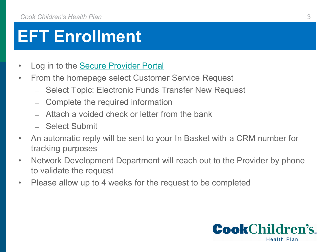#### **EFT Enrollment**

- Log in to the [Secure Provider Portal](https://epiccarelink.cookchp.org/LinkHealthPlan/common/epic_login.asp)
- From the homepage select Customer Service Request
	- Select Topic: Electronic Funds Transfer New Request
	- Complete the required information
	- Attach a voided check or letter from the bank
	- Select Submit
- An automatic reply will be sent to your In Basket with a CRM number for tracking purposes
- Network Development Department will reach out to the Provider by phone to validate the request
- Please allow up to 4 weeks for the request to be completed

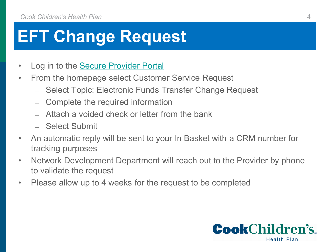#### **EFT Change Request**

- Log in to the [Secure Provider Portal](https://epiccarelink.cookchp.org/LinkHealthPlan/common/epic_login.asp)
- From the homepage select Customer Service Request
	- Select Topic: Electronic Funds Transfer Change Request
	- Complete the required information
	- Attach a voided check or letter from the bank
	- Select Submit
- An automatic reply will be sent to your In Basket with a CRM number for tracking purposes
- Network Development Department will reach out to the Provider by phone to validate the request
- Please allow up to 4 weeks for the request to be completed

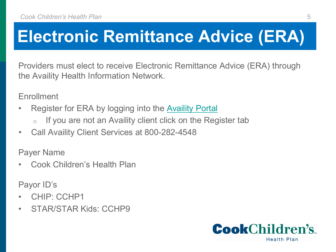### **Electronic Remittance Advice (ERA)**

Providers must elect to receive Electronic Remittance Advice (ERA) through the Availity Health Information Network.

**Enrollment** 

- Register for ERA by logging into the **Availity Portal** 
	- o If you are not an Availity client click on the Register tab
- Call Availity Client Services at 800-282-4548

Payer Name

• Cook Children's Health Plan

Payor ID's

- CHIP: CCHP1
- STAR/STAR Kids: CCHP9